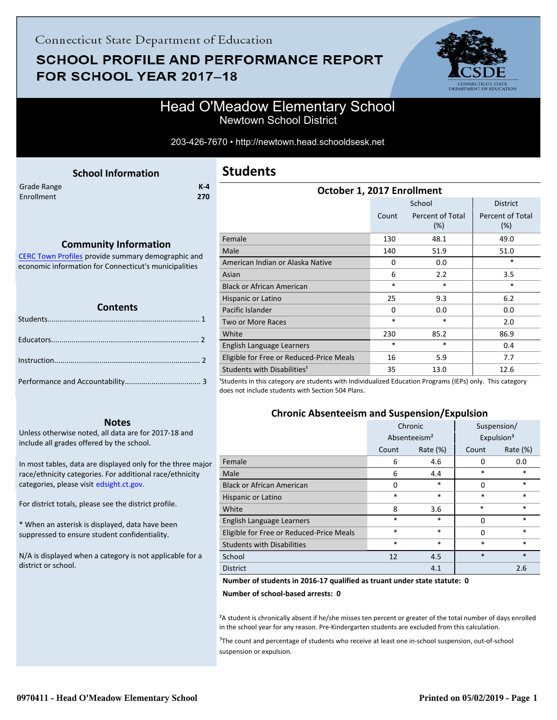## **SCHOOL PROFILE AND PERFORMANCE REPORT** FOR SCHOOL YEAR 2017-18



### Head O'Meadow Elementary School Newtown School District

203-426-7670 • http://newtown.head.schooldsesk.net

<span id="page-0-0"></span>

|             | <b>School Information</b> |         |
|-------------|---------------------------|---------|
| Grade Range |                           | $K - 4$ |
| Enrollment  |                           | 270     |
|             |                           |         |
|             |                           |         |

### **Community Information**

[CERC Town Profiles provide summary demographic and](http://www.cerc.com/townprofiles/) economic information for Connecticut's municipalities

#### **Contents**

#### **Notes**

Unless otherwise noted, all data are for 2017-18 and include all grades offered by the school.

[In most tables, data are displayed only for the three major](http://edsight.ct.gov/) race/ethnicity categories. For additional race/ethnicity categories, please visit edsight.ct.gov.

For district totals, please see the district profile.

\* When an asterisk is displayed, data have been suppressed to ensure student confidentiality.

N/A is displayed when a category is not applicable for a district or school.

### **Students**

| October 1, 2017 Enrollment                                                                                                                                                                                                                                                            |          |                            |                         |  |
|---------------------------------------------------------------------------------------------------------------------------------------------------------------------------------------------------------------------------------------------------------------------------------------|----------|----------------------------|-------------------------|--|
|                                                                                                                                                                                                                                                                                       |          | School                     | <b>District</b>         |  |
|                                                                                                                                                                                                                                                                                       | Count    | Percent of Total<br>$(\%)$ | Percent of Total<br>(%) |  |
| Female                                                                                                                                                                                                                                                                                | 130      | 48.1                       | 49.0                    |  |
| Male                                                                                                                                                                                                                                                                                  | 140      | 51.9                       | 51.0                    |  |
| American Indian or Alaska Native                                                                                                                                                                                                                                                      | $\Omega$ | 0.0                        | $\ast$                  |  |
| Asian                                                                                                                                                                                                                                                                                 | 6        | 2.2                        | 3.5                     |  |
| <b>Black or African American</b>                                                                                                                                                                                                                                                      | $\ast$   | *                          | *                       |  |
| Hispanic or Latino                                                                                                                                                                                                                                                                    | 25       | 9.3                        | 6.2                     |  |
| Pacific Islander                                                                                                                                                                                                                                                                      | $\Omega$ | 0.0                        | 0.0                     |  |
| Two or More Races                                                                                                                                                                                                                                                                     | $\ast$   | *                          | 2.0                     |  |
| White                                                                                                                                                                                                                                                                                 | 230      | 85.2                       | 86.9                    |  |
| English Language Learners                                                                                                                                                                                                                                                             | $\ast$   | $\ast$                     | 0.4                     |  |
| Eligible for Free or Reduced-Price Meals                                                                                                                                                                                                                                              | 16       | 5.9                        | 7.7                     |  |
| Students with Disabilities <sup>1</sup><br>$\mathcal{L}_{\mathcal{C}}$ , and the contract of the contract of the contract of the contract of the contract of the contract of the contract of the contract of the contract of the contract of the contract of the contract of the cont | 35       | 13.0                       | 12.6                    |  |

<sup>1</sup>Students in this category are students with Individualized Education Programs (IEPs) only. This category does not include students with Section 504 Plans.

### **Chronic Absenteeism and Suspension/Expulsion**

|                                          | Chronic |                          | Suspension/ |                        |
|------------------------------------------|---------|--------------------------|-------------|------------------------|
|                                          |         | Absenteeism <sup>2</sup> |             | Expulsion <sup>3</sup> |
|                                          | Count   | Rate $(\%)$              | Count       | Rate (%)               |
| Female                                   | 6       | 4.6                      | 0           | 0.0                    |
| Male                                     | 6       | 4.4                      | $\ast$      | $\ast$                 |
| <b>Black or African American</b>         | 0       | $\ast$                   | 0           | $\ast$                 |
| Hispanic or Latino                       | *       | $\ast$                   | $\ast$      | $\ast$                 |
| White                                    | 8       | 3.6                      | $\ast$      | $\ast$                 |
| English Language Learners                | *       | $\ast$                   | 0           | $\ast$                 |
| Eligible for Free or Reduced-Price Meals | *       | $\ast$                   | 0           | $\ast$                 |
| <b>Students with Disabilities</b>        | *       | $\ast$                   | $\ast$      | $\ast$                 |
| School                                   | 12      | 4.5                      | $\ast$      | $\ast$                 |
| <b>District</b>                          |         | 4.1                      |             | 2.6                    |

#### **Number of students in 2016-17 qualified as truant under state statute: 0**

**Number of school-based arrests: 0**

²A student is chronically absent if he/she misses ten percent or greater of the total number of days enrolled in the school year for any reason. Pre-Kindergarten students are excluded from this calculation.

<sup>3</sup>The count and percentage of students who receive at least one in-school suspension, out-of-school suspension or expulsion.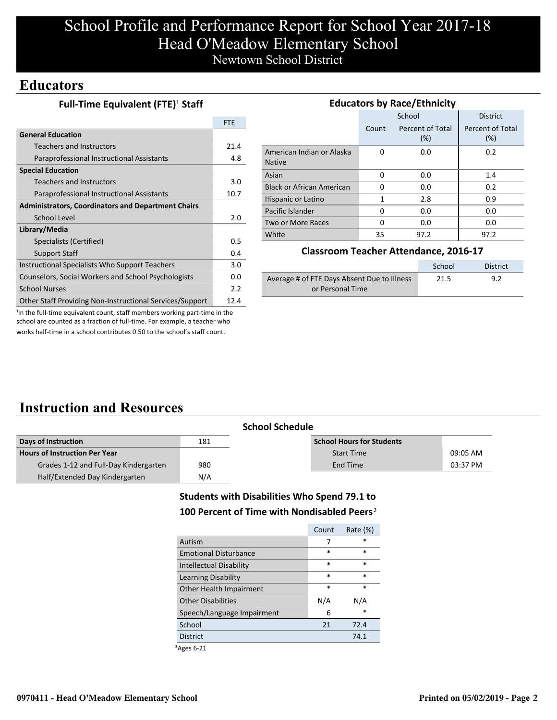# School Profile and Performance Report for School Year 2017-18 Head O'Meadow Elementary School Newtown School District

### **Educators**

| Full-Time Equivalent (FTE) <sup>1</sup> Staff |  |
|-----------------------------------------------|--|
|-----------------------------------------------|--|

|                                                           | <b>FTE</b> |
|-----------------------------------------------------------|------------|
| <b>General Education</b>                                  |            |
| Teachers and Instructors                                  | 21.4       |
| Paraprofessional Instructional Assistants                 | 4.8        |
| <b>Special Education</b>                                  |            |
| Teachers and Instructors                                  | 3.0        |
| Paraprofessional Instructional Assistants                 | 10.7       |
| <b>Administrators, Coordinators and Department Chairs</b> |            |
| School Level                                              | 2.0        |
| Library/Media                                             |            |
| Specialists (Certified)                                   | 0.5        |
| <b>Support Staff</b>                                      | 0.4        |
| Instructional Specialists Who Support Teachers            | 3.0        |
| Counselors, Social Workers and School Psychologists       | 0.0        |
| <b>School Nurses</b>                                      | 2.2        |
| Other Staff Providing Non-Instructional Services/Support  | 12.4       |

| <b>Educators by Race/Ethnicity</b>         |       |                         |                         |  |  |
|--------------------------------------------|-------|-------------------------|-------------------------|--|--|
|                                            |       | School                  | <b>District</b>         |  |  |
|                                            | Count | Percent of Total<br>(%) | Percent of Total<br>(%) |  |  |
| American Indian or Alaska<br><b>Native</b> | 0     | 0.0                     | 0.2                     |  |  |
| Asian                                      | 0     | 0.0                     | 1.4                     |  |  |
| <b>Black or African American</b>           | 0     | 0.0                     | 0.2                     |  |  |
| Hispanic or Latino                         | 1     | 2.8                     | 0.9                     |  |  |
| Pacific Islander                           | 0     | 0.0                     | 0.0                     |  |  |
| Two or More Races                          | 0     | 0.0                     | 0.0                     |  |  |
| White                                      | 35    | 97.2                    | 97.2                    |  |  |

#### **Classroom Teacher Attendance, 2016-17**

|                                             | School | District |
|---------------------------------------------|--------|----------|
| Average # of FTE Days Absent Due to Illness | 21.5   | 9.2      |
| or Personal Time                            |        |          |

<sup>1</sup>In the full-time equivalent count, staff members working part-time in the school are counted as a fraction of full-time. For example, a teacher who works half-time in a school contributes 0.50 to the school's staff count.

## **Instruction and Resources**

|                                       |     | <b>School Schedule</b>           |          |
|---------------------------------------|-----|----------------------------------|----------|
| Days of Instruction                   | 181 | <b>School Hours for Students</b> |          |
| <b>Hours of Instruction Per Year</b>  |     | <b>Start Time</b>                | 09:05 AM |
| Grades 1-12 and Full-Day Kindergarten | 980 | End Time                         | 03:37 PM |
| Half/Extended Day Kindergarten        | N/A |                                  |          |

### **Students with Disabilities Who Spend 79.1 to**

#### **100 Percent of Time with Nondisabled Peers**³

|                                | Count  | Rate $(\%)$ |
|--------------------------------|--------|-------------|
| Autism                         | 7      | *           |
| <b>Emotional Disturbance</b>   | $\ast$ | $\ast$      |
| <b>Intellectual Disability</b> | $\ast$ | $\ast$      |
| Learning Disability            | $\ast$ | *           |
| Other Health Impairment        | $\ast$ | $\ast$      |
| <b>Other Disabilities</b>      | N/A    | N/A         |
| Speech/Language Impairment     | 6      | *           |
| School                         | 21     | 72.4        |
| <b>District</b>                |        | 74.1        |
|                                |        |             |

³Ages 6-21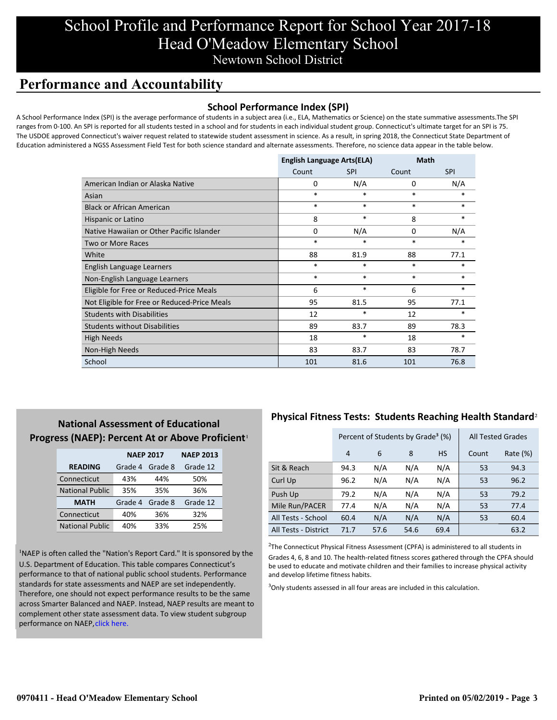## School Profile and Performance Report for School Year 2017-18 Head O'Meadow Elementary School Newtown School District

## **Performance and Accountability**

### **School Performance Index (SPI)**

A School Performance Index (SPI) is the average performance of students in a subject area (i.e., ELA, Mathematics or Science) on the state summative assessments.The SPI ranges from 0-100. An SPI is reported for all students tested in a school and for students in each individual student group. Connecticut's ultimate target for an SPI is 75. The USDOE approved Connecticut's waiver request related to statewide student assessment in science. As a result, in spring 2018, the Connecticut State Department of Education administered a NGSS Assessment Field Test for both science standard and alternate assessments. Therefore, no science data appear in the table below.

|                                              | <b>English Language Arts(ELA)</b> |            | Math   |            |
|----------------------------------------------|-----------------------------------|------------|--------|------------|
|                                              | Count                             | <b>SPI</b> | Count  | <b>SPI</b> |
| American Indian or Alaska Native             | 0                                 | N/A        | 0      | N/A        |
| Asian                                        | $\ast$                            | $\ast$     | $\ast$ | $\ast$     |
| <b>Black or African American</b>             | $\ast$                            | $\ast$     | $\ast$ | $\ast$     |
| Hispanic or Latino                           | 8                                 | $\ast$     | 8      | *          |
| Native Hawaiian or Other Pacific Islander    | 0                                 | N/A        | 0      | N/A        |
| Two or More Races                            | $\ast$                            | $\ast$     | $\ast$ | *          |
| White                                        | 88                                | 81.9       | 88     | 77.1       |
| English Language Learners                    | $\ast$                            | $\ast$     | $\ast$ | $*$        |
| Non-English Language Learners                | $\ast$                            | $\ast$     | $\ast$ | $\ast$     |
| Eligible for Free or Reduced-Price Meals     | 6                                 | $\ast$     | 6      | $\ast$     |
| Not Eligible for Free or Reduced-Price Meals | 95                                | 81.5       | 95     | 77.1       |
| <b>Students with Disabilities</b>            | 12                                | *          | 12     | *          |
| <b>Students without Disabilities</b>         | 89                                | 83.7       | 89     | 78.3       |
| <b>High Needs</b>                            | 18                                | $\ast$     | 18     | $\ast$     |
| Non-High Needs                               | 83                                | 83.7       | 83     | 78.7       |
| School                                       | 101                               | 81.6       | 101    | 76.8       |

### **National Assessment of Educational** Progress (NAEP): Percent At or Above Proficient<sup>1</sup>

|                        | <b>NAEP 2017</b>   |         | <b>NAEP 2013</b> |
|------------------------|--------------------|---------|------------------|
| <b>READING</b>         | Grade 4<br>Grade 8 |         | Grade 12         |
| Connecticut            | 43%                | 44%     | 50%              |
| <b>National Public</b> | 35%                | 35%     | 36%              |
| <b>MATH</b>            | Grade 4            | Grade 8 | Grade 12         |
| Connecticut            | 40%                | 36%     | 32%              |
| <b>National Public</b> | 40%                | 33%     | 25%              |

<sup>1</sup>NAEP is often called the "Nation's Report Card." It is sponsored by the U.S. Department of Education. This table compares Connecticut's performance to that of national public school students. Performance standards for state assessments and NAEP are set independently. Therefore, one should not expect performance results to be the same [across Smarter Balanced and NAEP. Instead, NAEP results are meant to](https://portal.ct.gov/-/media/SDE/Student-Assessment/NAEP/report-card_NAEP-2017.pdf?la=en) complement other state assessment data. To view student subgroup performance on NAEP, click here.

### **Physical Fitness Tests: Students Reaching Health Standard**²

|                      | Percent of Students by Grade <sup>3</sup> (%) |      |      |           | <b>All Tested Grades</b> |          |
|----------------------|-----------------------------------------------|------|------|-----------|--------------------------|----------|
|                      | 4                                             | 6    | 8    | <b>HS</b> | Count                    | Rate (%) |
| Sit & Reach          | 94.3                                          | N/A  | N/A  | N/A       | 53                       | 94.3     |
| Curl Up              | 96.2                                          | N/A  | N/A  | N/A       | 53                       | 96.2     |
| Push Up              | 79.2                                          | N/A  | N/A  | N/A       | 53                       | 79.2     |
| Mile Run/PACER       | 77.4                                          | N/A  | N/A  | N/A       | 53                       | 77.4     |
| All Tests - School   | 60.4                                          | N/A  | N/A  | N/A       | 53                       | 60.4     |
| All Tests - District | 71.7                                          | 57.6 | 54.6 | 69.4      |                          | 63.2     |

 $2$ The Connecticut Physical Fitness Assessment (CPFA) is administered to all students in Grades 4, 6, 8 and 10. The health-related fitness scores gathered through the CPFA should be used to educate and motivate children and their families to increase physical activity and develop lifetime fitness habits.

 $3$ Only students assessed in all four areas are included in this calculation.